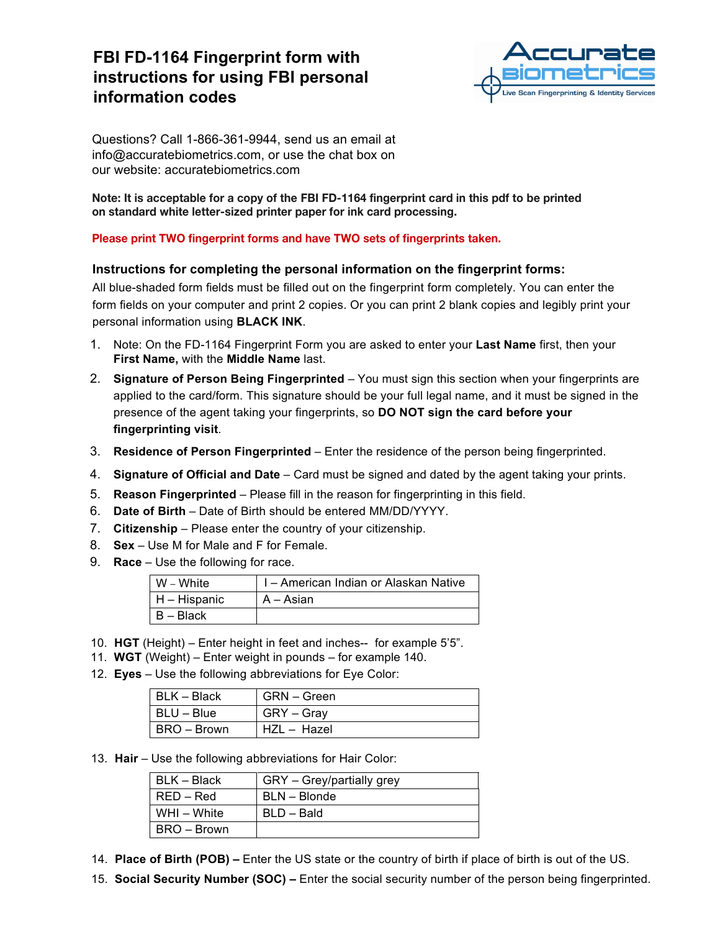## **FBI FD-1164 Fingerprint form with instructions for using FBI personal information codes**



Questions? Call 1-866-361-9944, send us an email at info@accuratebiometrics.com, or use the chat box on our website: accuratebiometrics.com

**Note: It is acceptable for a copy of the FBI FD-1164 fingerprint card in this pdf to be printed on standard white letter-sized printer paper for ink card processing.**

### **Please print TWO fingerprint forms and have TWO sets of fingerprints taken.**

### **Instructions for completing the personal information on the fingerprint forms:**

All blue-shaded form fields must be filled out on the fingerprint form completely. You can enter the form fields on your computer and print 2 copies. Or you can print 2 blank copies and legibly print your personal information using **BLACK INK**.

- 1. Note: On the FD-1164 Fingerprint Form you are asked to enter your **Last Name** first, then your **First Name,** with the **Middle Name** last.
- 2. **Signature of Person Being Fingerprinted** You must sign this section when your fingerprints are applied to the card/form. This signature should be your full legal name, and it must be signed in the presence of the agent taking your fingerprints, so **DO NOT sign the card before your fingerprinting visit**.
- 3. **Residence of Person Fingerprinted** Enter the residence of the person being fingerprinted.
- 4. **Signature of Official and Date** Card must be signed and dated by the agent taking your prints.
- 5. **Reason Fingerprinted** Please fill in the reason for fingerprinting in this field.
- 6. **Date of Birth** Date of Birth should be entered MM/DD/YYYY.
- 7. **Citizenship** Please enter the country of your citizenship.
- 8. **Sex** Use M for Male and F for Female.
- 9. **Race** Use the following for race.

| W – White    | I - American Indian or Alaskan Native |
|--------------|---------------------------------------|
| H – Hispanic | A – Asian                             |
| B – Black    |                                       |

- 10. **HGT** (Height) Enter height in feet and inches-- for example 5'5".
- 11. **WGT** (Weight) Enter weight in pounds for example 140.
- 12. **Eyes** Use the following abbreviations for Eye Color:

| BLK – Black | GRN – Green |
|-------------|-------------|
| BLU – Blue  | GRY – Gray  |
| BRO – Brown | HZL – Hazel |

13. **Hair** – Use the following abbreviations for Hair Color:

| BLK – Black | GRY - Grey/partially grey |
|-------------|---------------------------|
| $RED - Red$ | BLN - Blonde              |
| WHI - White | BLD - Bald                |
| BRO – Brown |                           |

- 14. **Place of Birth (POB)** Enter the US state or the country of birth if place of birth is out of the US.
- 15. **Social Security Number (SOC)** Enter the social security number of the person being fingerprinted.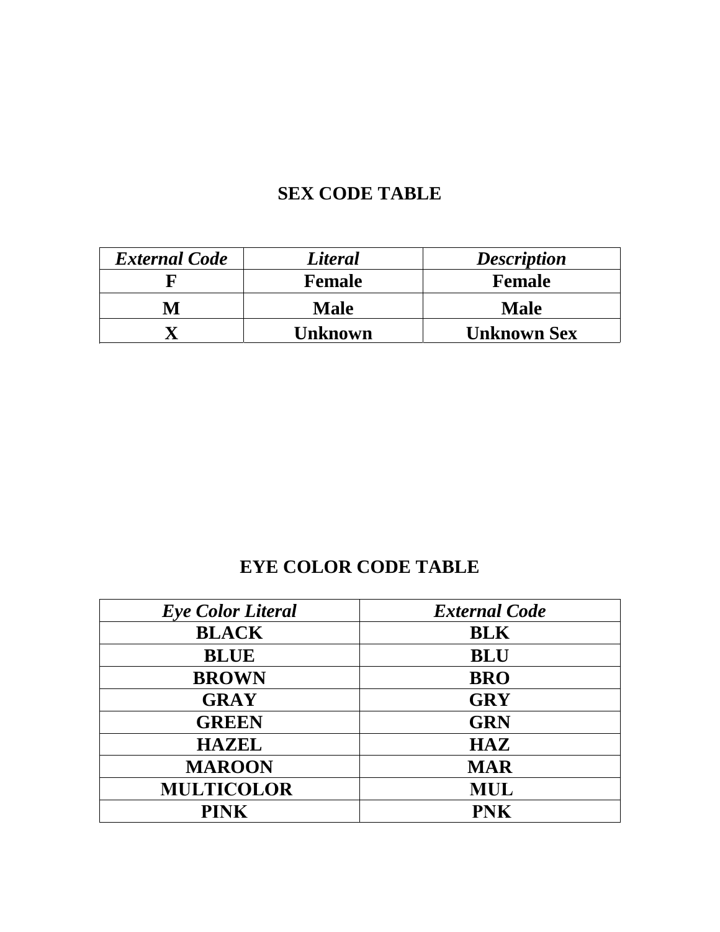# **SEX CODE TABLE**

| <b>External Code</b> | <b>Literal</b> | <b>Description</b> |  |  |  |
|----------------------|----------------|--------------------|--|--|--|
|                      | <b>Female</b>  | <b>Female</b>      |  |  |  |
| M                    | Male           | <b>Male</b>        |  |  |  |
|                      | Unknown        | <b>Unknown Sex</b> |  |  |  |

## **EYE COLOR CODE TABLE**

| <b>Eye Color Literal</b> | <b>External Code</b> |
|--------------------------|----------------------|
| <b>BLACK</b>             | <b>BLK</b>           |
| <b>BLUE</b>              | <b>BLU</b>           |
| <b>BROWN</b>             | <b>BRO</b>           |
| <b>GRAY</b>              | <b>GRY</b>           |
| <b>GREEN</b>             | <b>GRN</b>           |
| <b>HAZEL</b>             | <b>HAZ</b>           |
| <b>MAROON</b>            | <b>MAR</b>           |
| <b>MULTICOLOR</b>        | <b>MUL</b>           |
| <b>PINK</b>              | <b>PNK</b>           |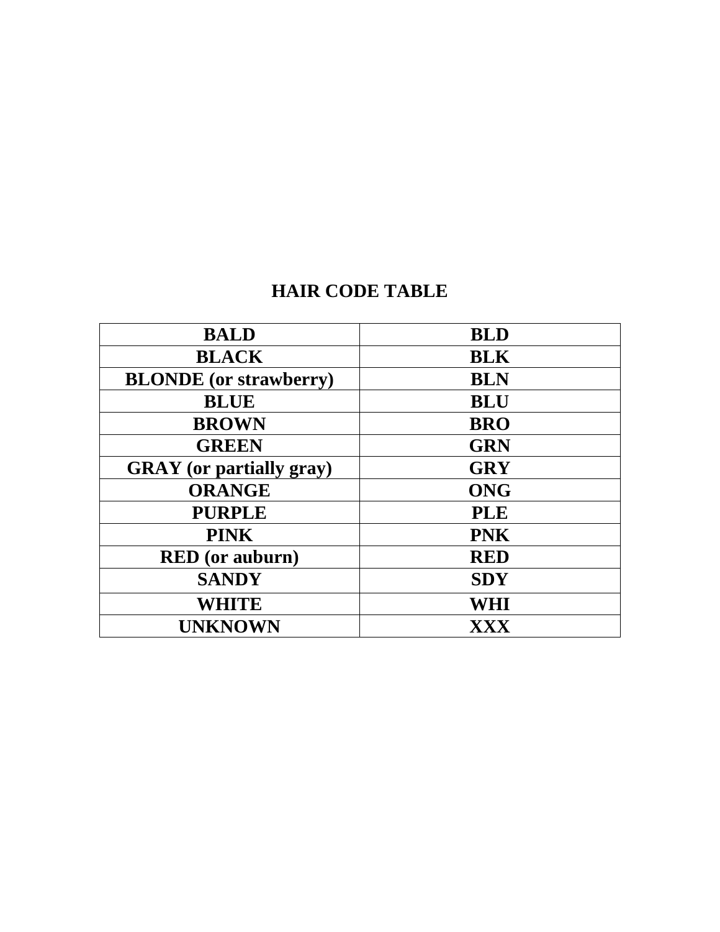## **HAIR CODE TABLE**

| <b>BALD</b>                     | <b>BLD</b> |
|---------------------------------|------------|
| <b>BLACK</b>                    | <b>BLK</b> |
| <b>BLONDE</b> (or strawberry)   | <b>BLN</b> |
| <b>BLUE</b>                     | <b>BLU</b> |
| <b>BROWN</b>                    | <b>BRO</b> |
| <b>GREEN</b>                    | <b>GRN</b> |
| <b>GRAY</b> (or partially gray) | <b>GRY</b> |
| <b>ORANGE</b>                   | <b>ONG</b> |
| <b>PURPLE</b>                   | <b>PLE</b> |
| <b>PINK</b>                     | <b>PNK</b> |
| <b>RED</b> (or auburn)          | <b>RED</b> |
| <b>SANDY</b>                    | <b>SDY</b> |
| <b>WHITE</b>                    | WHI        |
| <b>UNKNOWN</b>                  | XXX        |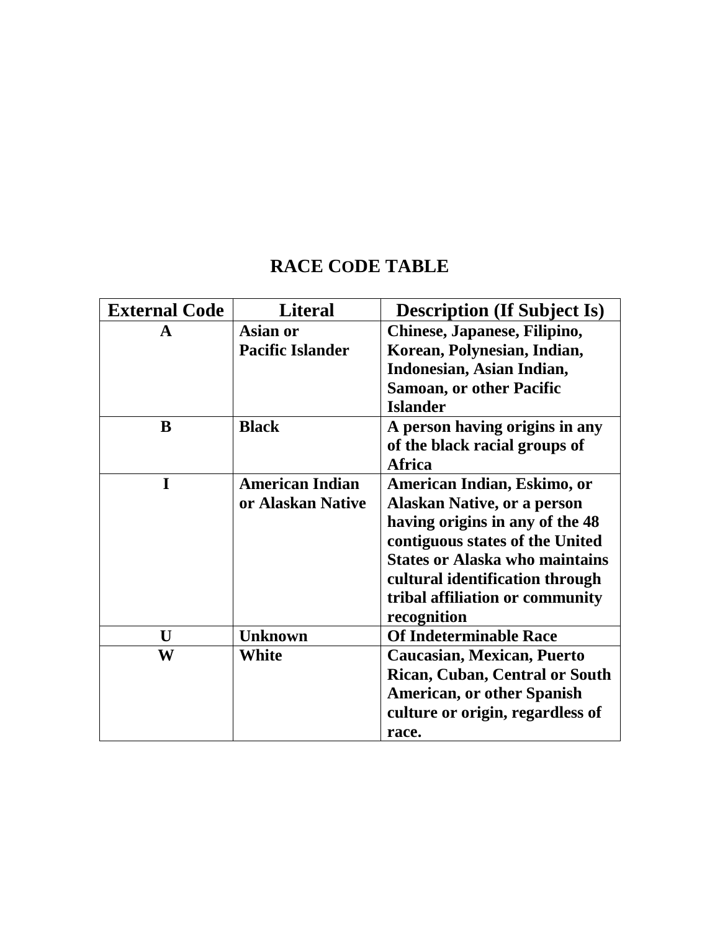## **RACE CODE TABLE**

| <b>External Code</b> | <b>Literal</b>          | <b>Description (If Subject Is)</b>    |  |  |  |  |
|----------------------|-------------------------|---------------------------------------|--|--|--|--|
| A                    | <b>Asian or</b>         | Chinese, Japanese, Filipino,          |  |  |  |  |
|                      | <b>Pacific Islander</b> | Korean, Polynesian, Indian,           |  |  |  |  |
|                      |                         | Indonesian, Asian Indian,             |  |  |  |  |
|                      |                         | <b>Samoan, or other Pacific</b>       |  |  |  |  |
|                      |                         | <b>Islander</b>                       |  |  |  |  |
| B                    | <b>Black</b>            | A person having origins in any        |  |  |  |  |
|                      |                         | of the black racial groups of         |  |  |  |  |
|                      |                         | <b>Africa</b>                         |  |  |  |  |
| I                    | <b>American Indian</b>  | American Indian, Eskimo, or           |  |  |  |  |
|                      | or Alaskan Native       | <b>Alaskan Native, or a person</b>    |  |  |  |  |
|                      |                         | having origins in any of the 48       |  |  |  |  |
|                      |                         | contiguous states of the United       |  |  |  |  |
|                      |                         | <b>States or Alaska who maintains</b> |  |  |  |  |
|                      |                         | cultural identification through       |  |  |  |  |
|                      |                         | tribal affiliation or community       |  |  |  |  |
|                      |                         | recognition                           |  |  |  |  |
| $\mathbf{U}$         | <b>Unknown</b>          | <b>Of Indeterminable Race</b>         |  |  |  |  |
| W                    | White                   | <b>Caucasian, Mexican, Puerto</b>     |  |  |  |  |
|                      |                         | <b>Rican, Cuban, Central or South</b> |  |  |  |  |
|                      |                         | <b>American, or other Spanish</b>     |  |  |  |  |
|                      |                         | culture or origin, regardless of      |  |  |  |  |
|                      |                         | race.                                 |  |  |  |  |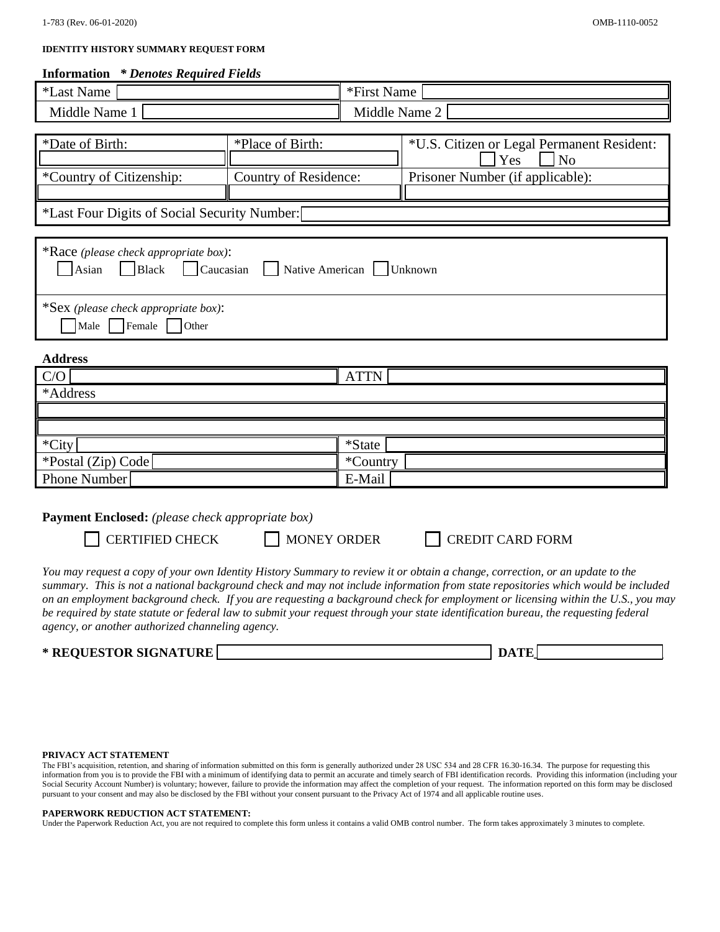#### **IDENTITY HISTORY SUMMARY REQUEST FORM**

#### **Information** *\* Denotes Required Fields*

| <i><b>*Last Name</b></i>                                                                                                                                                                                                                                                                                                      |                                                                                 | *First Name |  |                                            |  |  |  |
|-------------------------------------------------------------------------------------------------------------------------------------------------------------------------------------------------------------------------------------------------------------------------------------------------------------------------------|---------------------------------------------------------------------------------|-------------|--|--------------------------------------------|--|--|--|
| Middle Name 1                                                                                                                                                                                                                                                                                                                 | Middle Name 2                                                                   |             |  |                                            |  |  |  |
|                                                                                                                                                                                                                                                                                                                               |                                                                                 |             |  |                                            |  |  |  |
| *Date of Birth:                                                                                                                                                                                                                                                                                                               | *Place of Birth:                                                                |             |  | *U.S. Citizen or Legal Permanent Resident: |  |  |  |
|                                                                                                                                                                                                                                                                                                                               |                                                                                 |             |  | N <sub>o</sub><br>Yes                      |  |  |  |
| *Country of Citizenship:                                                                                                                                                                                                                                                                                                      | Country of Residence:                                                           |             |  | Prisoner Number (if applicable):           |  |  |  |
| *Last Four Digits of Social Security Number:                                                                                                                                                                                                                                                                                  |                                                                                 |             |  |                                            |  |  |  |
|                                                                                                                                                                                                                                                                                                                               |                                                                                 |             |  |                                            |  |  |  |
| Asian<br>$ $ Black                                                                                                                                                                                                                                                                                                            | *Race (please check appropriate box):<br>Caucasian<br>Native American   Unknown |             |  |                                            |  |  |  |
| Female<br>Male<br>Other                                                                                                                                                                                                                                                                                                       | *Sex (please check appropriate box):                                            |             |  |                                            |  |  |  |
| <b>Address</b>                                                                                                                                                                                                                                                                                                                |                                                                                 |             |  |                                            |  |  |  |
| C/O                                                                                                                                                                                                                                                                                                                           |                                                                                 | <b>ATTN</b> |  |                                            |  |  |  |
| *Address                                                                                                                                                                                                                                                                                                                      |                                                                                 |             |  |                                            |  |  |  |
|                                                                                                                                                                                                                                                                                                                               |                                                                                 |             |  |                                            |  |  |  |
|                                                                                                                                                                                                                                                                                                                               |                                                                                 |             |  |                                            |  |  |  |
| *City                                                                                                                                                                                                                                                                                                                         |                                                                                 | *State      |  |                                            |  |  |  |
| *Postal (Zip) Code                                                                                                                                                                                                                                                                                                            |                                                                                 | *Country    |  |                                            |  |  |  |
| Phone Number                                                                                                                                                                                                                                                                                                                  |                                                                                 | E-Mail      |  |                                            |  |  |  |
| $\mathbf{n}$ and $\mathbf{n}$ and $\mathbf{n}$ and $\mathbf{n}$ and $\mathbf{n}$ and $\mathbf{n}$ and $\mathbf{n}$ and $\mathbf{n}$ and $\mathbf{n}$ and $\mathbf{n}$ and $\mathbf{n}$ and $\mathbf{n}$ and $\mathbf{n}$ and $\mathbf{n}$ and $\mathbf{n}$ and $\mathbf{n}$ and $\mathbf{n}$ and $\mathbf{n}$ and $\mathbf{n$ |                                                                                 |             |  |                                            |  |  |  |

**Payment Enclosed:** *(please check appropriate box)*

CERTIFIED CHECK MONEY ORDER CREDIT CARD FORM

*You may request a copy of your own Identity History Summary to review it or obtain a change, correction, or an update to the summary. This is not a national background check and may not include information from state repositories which would be included on an employment background check. If you are requesting a background check for employment or licensing within the U.S., you may be required by state statute or federal law to submit your request through your state identification bureau, the requesting federal agency, or another authorized channeling agency.* 

#### \* REQUESTOR SIGNATURE DATE:

| ×.<br>- |  |
|---------|--|
|         |  |

#### **PRIVACY ACT STATEMENT**

The FBI's acquisition, retention, and sharing of information submitted on this form is generally authorized under 28 USC 534 and 28 CFR 16.30-16.34. The purpose for requesting this information from you is to provide the FBI with a minimum of identifying data to permit an accurate and timely search of FBI identification records. Providing this information (including your Social Security Account Number) is voluntary; however, failure to provide the information may affect the completion of your request. The information reported on this form may be disclosed pursuant to your consent and may also be disclosed by the FBI without your consent pursuant to the Privacy Act of 1974 and all applicable routine uses.

#### **PAPERWORK REDUCTION ACT STATEMENT:**

Under the Paperwork Reduction Act, you are not required to complete this form unless it contains a valid OMB control number. The form takes approximately 3 minutes to complete.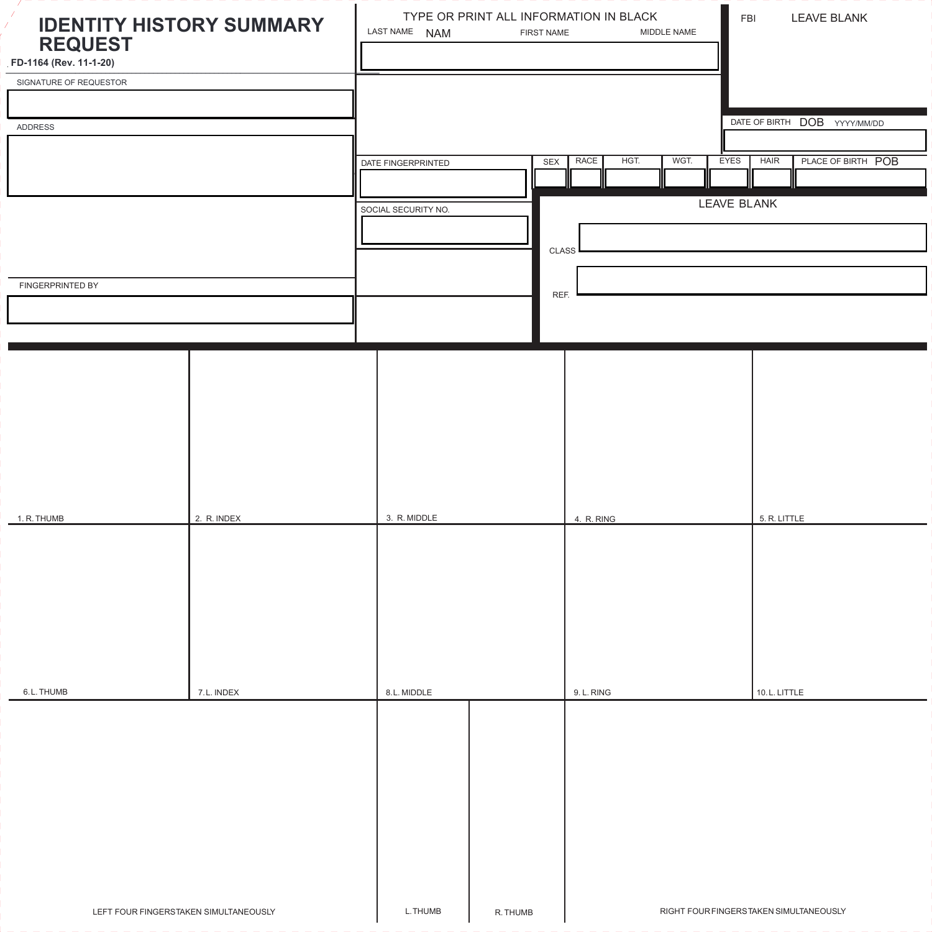| X.<br><b>IDENTITY HISTORY SUMMARY</b><br>Ê,<br><b>REQUEST</b><br>FD-1164 (Rev. 11-1-20) |             | LAST NAME NAM       | TYPE OR PRINT ALL INFORMATION IN BLACK<br>FIRST NAME | MIDDLE NAME  | <b>LEAVE BLANK</b><br>FBI               |                     |                              |  |
|-----------------------------------------------------------------------------------------|-------------|---------------------|------------------------------------------------------|--------------|-----------------------------------------|---------------------|------------------------------|--|
| SIGNATURE OF REQUESTOR                                                                  |             |                     |                                                      |              |                                         |                     |                              |  |
|                                                                                         |             |                     |                                                      |              |                                         |                     |                              |  |
| <b>ADDRESS</b>                                                                          |             |                     |                                                      |              |                                         |                     | DATE OF BIRTH DOB YYYY/MM/DD |  |
|                                                                                         |             |                     |                                                      |              |                                         |                     |                              |  |
|                                                                                         |             | DATE FINGERPRINTED  | SEX                                                  | RACE<br>HGT. | WGT.                                    | EYES<br><b>HAIR</b> | PLACE OF BIRTH POB           |  |
|                                                                                         |             |                     |                                                      |              |                                         |                     |                              |  |
|                                                                                         |             | SOCIAL SECURITY NO. |                                                      |              |                                         | LEAVE BLANK         |                              |  |
|                                                                                         |             |                     |                                                      |              |                                         |                     |                              |  |
|                                                                                         |             |                     |                                                      | CLASS        |                                         |                     |                              |  |
| FINGERPRINTED BY                                                                        |             |                     |                                                      |              |                                         |                     |                              |  |
|                                                                                         |             |                     |                                                      | REF.         |                                         |                     |                              |  |
|                                                                                         |             |                     |                                                      |              |                                         |                     |                              |  |
|                                                                                         |             |                     |                                                      |              |                                         |                     |                              |  |
|                                                                                         |             |                     |                                                      |              |                                         |                     |                              |  |
|                                                                                         |             |                     |                                                      |              |                                         |                     |                              |  |
|                                                                                         |             |                     |                                                      |              |                                         |                     |                              |  |
|                                                                                         |             |                     |                                                      |              |                                         |                     |                              |  |
|                                                                                         |             |                     |                                                      |              |                                         |                     |                              |  |
|                                                                                         |             |                     |                                                      |              |                                         |                     |                              |  |
| 1. R. THUMB                                                                             | 2. R. INDEX | 3. R. MIDDLE        |                                                      | 4. R. RING   |                                         | 5. R. LITTLE        |                              |  |
|                                                                                         |             |                     |                                                      |              |                                         |                     |                              |  |
|                                                                                         |             |                     |                                                      |              |                                         |                     |                              |  |
|                                                                                         |             |                     |                                                      |              |                                         |                     |                              |  |
|                                                                                         |             |                     |                                                      |              |                                         |                     |                              |  |
|                                                                                         |             |                     |                                                      |              |                                         |                     |                              |  |
|                                                                                         |             |                     |                                                      |              |                                         |                     |                              |  |
|                                                                                         |             |                     |                                                      |              |                                         |                     |                              |  |
| 6.L. THUMB                                                                              | 7.L. INDEX  | 8.L. MIDDLE         |                                                      | 9. L. RING   |                                         | 10.L. LITTLE        |                              |  |
|                                                                                         |             |                     |                                                      |              |                                         |                     |                              |  |
|                                                                                         |             |                     |                                                      |              |                                         |                     |                              |  |
|                                                                                         |             |                     |                                                      |              |                                         |                     |                              |  |
|                                                                                         |             |                     |                                                      |              |                                         |                     |                              |  |
|                                                                                         |             |                     |                                                      |              |                                         |                     |                              |  |
|                                                                                         |             |                     |                                                      |              |                                         |                     |                              |  |
|                                                                                         |             |                     |                                                      |              |                                         |                     |                              |  |
|                                                                                         |             |                     |                                                      |              |                                         |                     |                              |  |
|                                                                                         |             |                     |                                                      |              |                                         |                     |                              |  |
| LEFT FOUR FINGERSTAKEN SIMULTANEOUSLY                                                   |             | L.THUMB             | R. THUMB                                             |              | RIGHT FOUR FINGERS TAKEN SIMULTANEOUSLY |                     |                              |  |